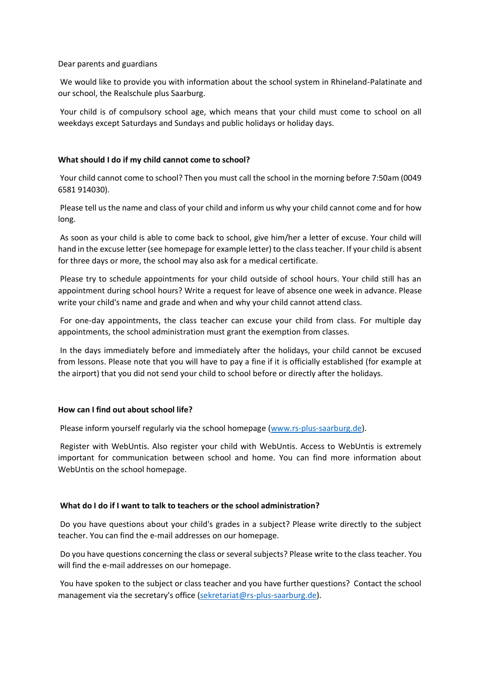Dear parents and guardians

We would like to provide you with information about the school system in Rhineland-Palatinate and our school, the Realschule plus Saarburg.

Your child is of compulsory school age, which means that your child must come to school on all weekdays except Saturdays and Sundays and public holidays or holiday days.

# **What should I do if my child cannot come to school?**

Your child cannot come to school? Then you must call the school in the morning before 7:50am (0049 6581 914030).

Please tell us the name and class of your child and inform us why your child cannot come and for how long.

As soon as your child is able to come back to school, give him/her a letter of excuse. Your child will hand in the excuse letter (see homepage for example letter) to the class teacher. If your child is absent for three days or more, the school may also ask for a medical certificate.

Please try to schedule appointments for your child outside of school hours. Your child still has an appointment during school hours? Write a request for leave of absence one week in advance. Please write your child's name and grade and when and why your child cannot attend class.

For one-day appointments, the class teacher can excuse your child from class. For multiple day appointments, the school administration must grant the exemption from classes.

In the days immediately before and immediately after the holidays, your child cannot be excused from lessons. Please note that you will have to pay a fine if it is officially established (for example at the airport) that you did not send your child to school before or directly after the holidays.

# **How can I find out about school life?**

Please inform yourself regularly via the school homepage (www.rs-plus-saarburg.de).

Register with WebUntis. Also register your child with WebUntis. Access to WebUntis is extremely important for communication between school and home. You can find more information about WebUntis on the school homepage.

# **What do I do if I want to talk to teachers or the school administration?**

Do you have questions about your child's grades in a subject? Please write directly to the subject teacher. You can find the e-mail addresses on our homepage.

Do you have questions concerning the class or several subjects? Please write to the class teacher. You will find the e-mail addresses on our homepage.

You have spoken to the subject or class teacher and you have further questions? Contact the school management via the secretary's office [\(sekretariat@rs-plus-saarburg.de\)](mailto:sekretariat@rs-plus-saarburg.de).